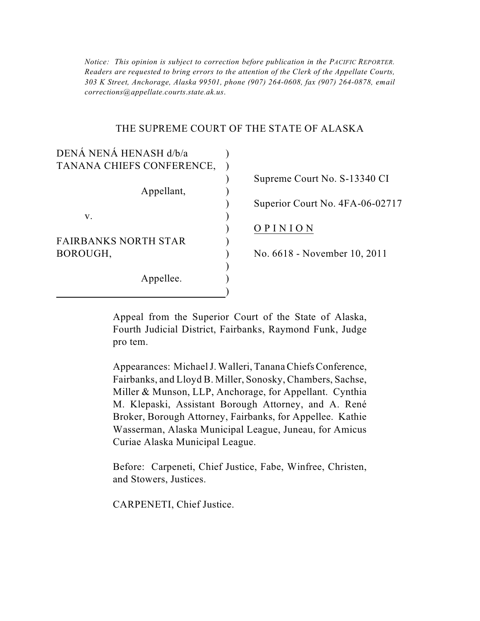*303 K Street, Anchorage, Alaska 99501, phone (907) 264-0608, fax (907) 264-0878, email Notice: This opinion is subject to correction before publication in the PACIFIC REPORTER. Readers are requested to bring errors to the attention of the Clerk of the Appellate Courts, corrections@appellate.courts.state.ak.us*.

#### THE SUPREME COURT OF THE STATE OF ALASKA

| DENÁ NENÁ HENASH d/b/a      |                                 |
|-----------------------------|---------------------------------|
| TANANA CHIEFS CONFERENCE,   |                                 |
|                             | Supreme Court No. S-13340 CI    |
| Appellant,                  |                                 |
|                             | Superior Court No. 4FA-06-02717 |
| V.                          |                                 |
|                             | OPINION                         |
| <b>FAIRBANKS NORTH STAR</b> |                                 |
| BOROUGH,                    | No. 6618 - November 10, 2011    |
|                             |                                 |
| Appellee.                   |                                 |
|                             |                                 |

 Appeal from the Superior Court of the State of Alaska, Fourth Judicial District, Fairbanks, Raymond Funk, Judge pro tem.

 Fairbanks, and Lloyd B. Miller, Sonosky, Chambers, Sachse, Miller & Munson, LLP, Anchorage, for Appellant. Cynthia Appearances: Michael J. Walleri, Tanana Chiefs Conference, M. Klepaski, Assistant Borough Attorney, and A. René Broker, Borough Attorney, Fairbanks, for Appellee. Kathie Wasserman, Alaska Municipal League, Juneau, for Amicus Curiae Alaska Municipal League.

Before: Carpeneti, Chief Justice, Fabe, Winfree, Christen, and Stowers, Justices.

CARPENETI, Chief Justice.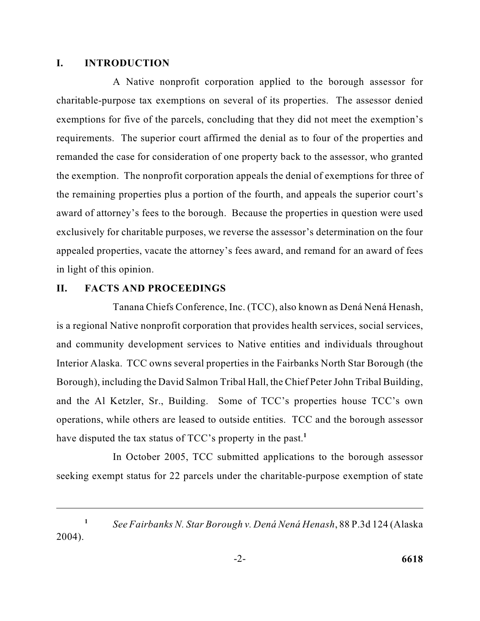#### **I. INTRODUCTION**

 the exemption. The nonprofit corporation appeals the denial of exemptions for three of exclusively for charitable purposes, we reverse the assessor's determination on the four appealed properties, vacate the attorney's fees award, and remand for an award of fees A Native nonprofit corporation applied to the borough assessor for charitable-purpose tax exemptions on several of its properties. The assessor denied exemptions for five of the parcels, concluding that they did not meet the exemption's requirements. The superior court affirmed the denial as to four of the properties and remanded the case for consideration of one property back to the assessor, who granted the remaining properties plus a portion of the fourth, and appeals the superior court's award of attorney's fees to the borough. Because the properties in question were used in light of this opinion.

### **II. FACTS AND PROCEEDINGS**

 Tanana Chiefs Conference, Inc. (TCC), also known as Dená Nená Henash, Interior Alaska. TCC owns several properties in the Fairbanks North Star Borough (the is a regional Native nonprofit corporation that provides health services, social services, and community development services to Native entities and individuals throughout Borough), including the David Salmon Tribal Hall, the Chief Peter John Tribal Building, and the Al Ketzler, Sr., Building. Some of TCC's properties house TCC's own operations, while others are leased to outside entities. TCC and the borough assessor have disputed the tax status of TCC's property in the past.<sup>1</sup>

In October 2005, TCC submitted applications to the borough assessor seeking exempt status for 22 parcels under the charitable-purpose exemption of state

*See Fairbanks N. Star Borough v. Dená Nená Henash*, 88 P.3d 124 (Alaska 2004). **1**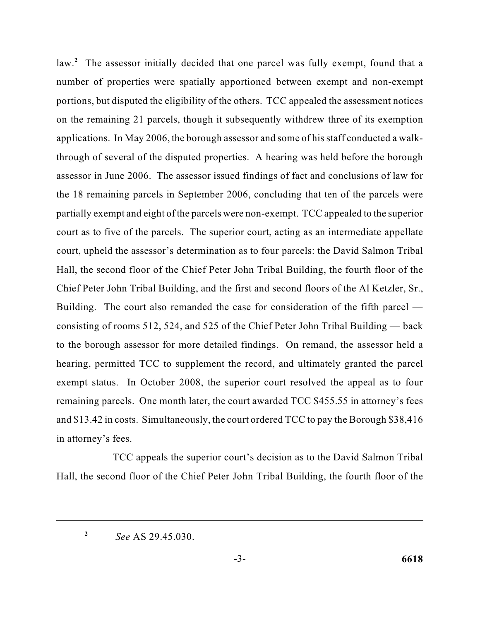law.<sup>2</sup> The assessor initially decided that one parcel was fully exempt, found that a portions, but disputed the eligibility of the others. TCC appealed the assessment notices applications. In May 2006, the borough assessor and some of his staff conducted a walk- assessor in June 2006. The assessor issued findings of fact and conclusions of law for partially exempt and eight of the parcels were non-exempt. TCC appealed to the superior court as to five of the parcels. The superior court, acting as an intermediate appellate Chief Peter John Tribal Building, and the first and second floors of the Al Ketzler, Sr., Building. The court also remanded the case for consideration of the fifth parcel — remaining parcels. One month later, the court awarded TCC \$455.55 in attorney's fees and \$13.42 in costs. Simultaneously, the court ordered TCC to pay the Borough \$38,416 number of properties were spatially apportioned between exempt and non-exempt on the remaining 21 parcels, though it subsequently withdrew three of its exemption through of several of the disputed properties. A hearing was held before the borough the 18 remaining parcels in September 2006, concluding that ten of the parcels were court, upheld the assessor's determination as to four parcels: the David Salmon Tribal Hall, the second floor of the Chief Peter John Tribal Building, the fourth floor of the consisting of rooms 512, 524, and 525 of the Chief Peter John Tribal Building — back to the borough assessor for more detailed findings. On remand, the assessor held a hearing, permitted TCC to supplement the record, and ultimately granted the parcel exempt status. In October 2008, the superior court resolved the appeal as to four in attorney's fees.

 Hall, the second floor of the Chief Peter John Tribal Building, the fourth floor of the TCC appeals the superior court's decision as to the David Salmon Tribal

*See* AS 29.45.030. **2**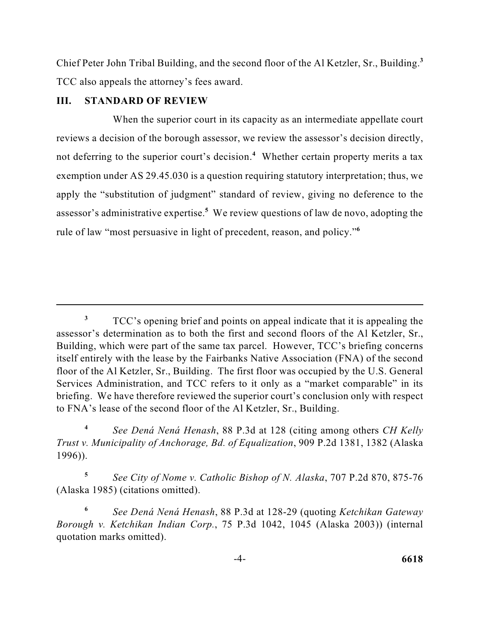Chief Peter John Tribal Building, and the second floor of the Al Ketzler, Sr., Building.**<sup>3</sup>** TCC also appeals the attorney's fees award.

## **III. STANDARD OF REVIEW**

 reviews a decision of the borough assessor, we review the assessor's decision directly, assessor's administrative expertise.<sup>5</sup> We review questions of law de novo, adopting the When the superior court in its capacity as an intermediate appellate court not deferring to the superior court's decision.<sup>4</sup> Whether certain property merits a tax exemption under AS 29.45.030 is a question requiring statutory interpretation; thus, we apply the "substitution of judgment" standard of review, giving no deference to the rule of law "most persuasive in light of precedent, reason, and policy."**<sup>6</sup>**

 **<sup>5</sup>***See City of Nome v. Catholic Bishop of N. Alaska*, 707 P.2d 870, 875-76 (Alaska 1985) (citations omitted).

<sup>&</sup>lt;sup>3</sup> TCC's opening brief and points on appeal indicate that it is appealing the floor of the Al Ketzler, Sr., Building. The first floor was occupied by the U.S. General assessor's determination as to both the first and second floors of the Al Ketzler, Sr., Building, which were part of the same tax parcel. However, TCC's briefing concerns itself entirely with the lease by the Fairbanks Native Association (FNA) of the second Services Administration, and TCC refers to it only as a "market comparable" in its briefing. We have therefore reviewed the superior court's conclusion only with respect to FNA's lease of the second floor of the Al Ketzler, Sr., Building.

 *Trust v. Municipality of Anchorage, Bd. of Equalization*, 909 P.2d 1381, 1382 (Alaska **<sup>4</sup>***See Dená Nená Henash*, 88 P.3d at 128 (citing among others *CH Kelly*  1996)).

**<sup>6</sup>***See Dená Nená Henash*, 88 P.3d at 128-29 (quoting *Ketchikan Gateway Borough v. Ketchikan Indian Corp.*, 75 P.3d 1042, 1045 (Alaska 2003)) (internal quotation marks omitted).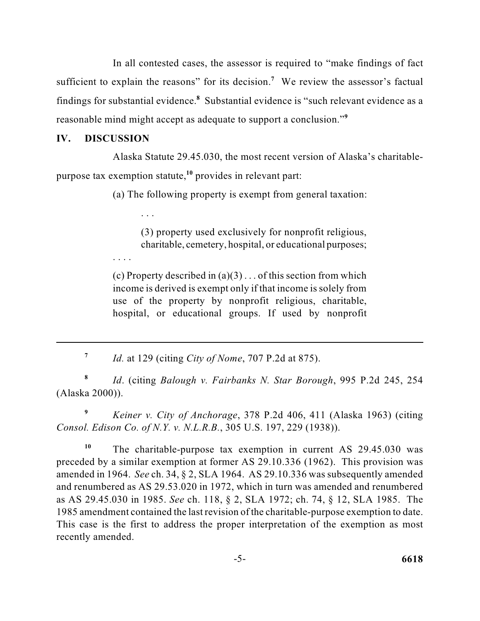findings for substantial evidence.<sup>8</sup> Substantial evidence is "such relevant evidence as a reasonable mind might accept as adequate to support a conclusion."**<sup>9</sup>** In all contested cases, the assessor is required to "make findings of fact sufficient to explain the reasons" for its decision.<sup>7</sup> We review the assessor's factual

## **IV. DISCUSSION**

. . .

. . . .

 Alaska Statute 29.45.030, the most recent version of Alaska's charitablepurpose tax exemption statute,**<sup>10</sup>** provides in relevant part:

(a) The following property is exempt from general taxation:

(3) property used exclusively for nonprofit religious, charitable, cemetery, hospital, or educational purposes;

(c) Property described in  $(a)(3) \dots$  of this section from which income is derived is exempt only if that income is solely from use of the property by nonprofit religious, charitable, hospital, or educational groups. If used by nonprofit

**<sup>7</sup>***Id.* at 129 (citing *City of Nome*, 707 P.2d at 875).

**<sup>8</sup>***Id*. (citing *Balough v. Fairbanks N. Star Borough*, 995 P.2d 245, 254 (Alaska 2000)).

**<sup>9</sup>***Keiner v. City of Anchorage*, 378 P.2d 406, 411 (Alaska 1963) (citing *Consol. Edison Co. of N.Y. v. N.L.R.B.*, 305 U.S. 197, 229 (1938)).

 amended in 1964. *See* ch. 34, § 2, SLA 1964. AS 29.10.336 was subsequently amended 1985 amendment contained the last revision of the charitable-purpose exemption to date. <sup>10</sup> The charitable-purpose tax exemption in current AS 29.45.030 was preceded by a similar exemption at former AS 29.10.336 (1962). This provision was and renumbered as AS 29.53.020 in 1972, which in turn was amended and renumbered as AS 29.45.030 in 1985. *See* ch. 118, § 2, SLA 1972; ch. 74, § 12, SLA 1985. The This case is the first to address the proper interpretation of the exemption as most recently amended.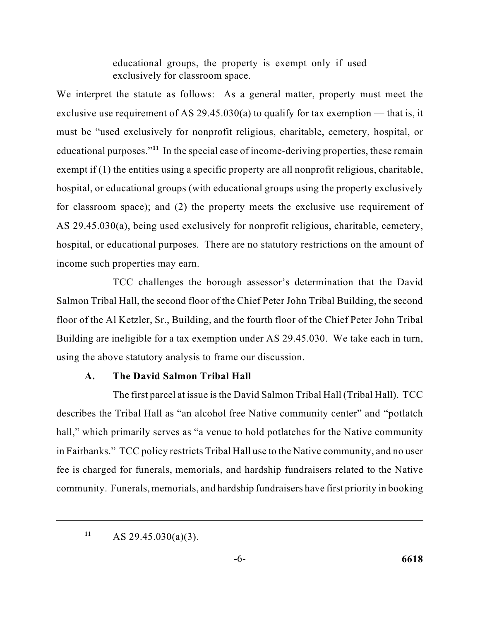educational groups, the property is exempt only if used exclusively for classroom space.

exclusive use requirement of AS 29.45.030(a) to qualify for tax exemption — that is, it must be "used exclusively for nonprofit religious, charitable, cemetery, hospital, or exempt if (1) the entities using a specific property are all nonprofit religious, charitable, hospital, or educational groups (with educational groups using the property exclusively hospital, or educational purposes. There are no statutory restrictions on the amount of We interpret the statute as follows: As a general matter, property must meet the educational purposes."**<sup>11</sup>** In the special case of income-deriving properties, these remain for classroom space); and (2) the property meets the exclusive use requirement of AS 29.45.030(a), being used exclusively for nonprofit religious, charitable, cemetery, income such properties may earn.

 Salmon Tribal Hall, the second floor of the Chief Peter John Tribal Building, the second TCC challenges the borough assessor's determination that the David floor of the Al Ketzler, Sr., Building, and the fourth floor of the Chief Peter John Tribal Building are ineligible for a tax exemption under AS 29.45.030. We take each in turn, using the above statutory analysis to frame our discussion.

## **A. The David Salmon Tribal Hall**

 The first parcel at issue is the David Salmon Tribal Hall (Tribal Hall). TCC describes the Tribal Hall as "an alcohol free Native community center" and "potlatch hall," which primarily serves as "a venue to hold potlatches for the Native community community. Funerals, memorials, and hardship fundraisers have first priority in booking in Fairbanks." TCC policy restricts Tribal Hall use to the Native community, and no user fee is charged for funerals, memorials, and hardship fundraisers related to the Native

AS 29.45.030(a)(3). **11**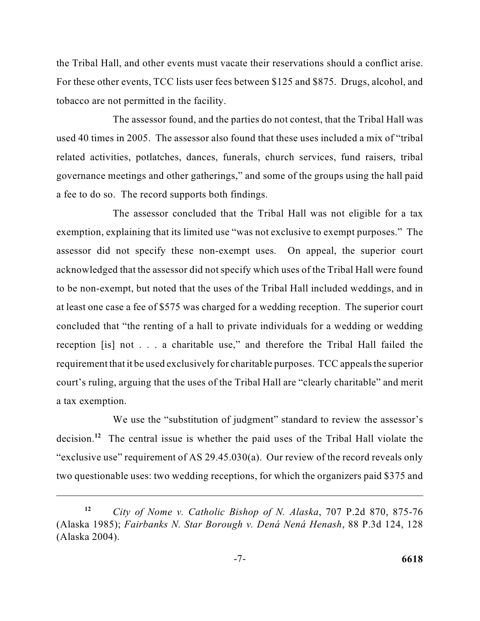For these other events, TCC lists user fees between \$125 and \$875. Drugs, alcohol, and the Tribal Hall, and other events must vacate their reservations should a conflict arise. tobacco are not permitted in the facility.

 The assessor found, and the parties do not contest, that the Tribal Hall was used 40 times in 2005. The assessor also found that these uses included a mix of "tribal governance meetings and other gatherings," and some of the groups using the hall paid related activities, potlatches, dances, funerals, church services, fund raisers, tribal a fee to do so. The record supports both findings.

 exemption, explaining that its limited use "was not exclusive to exempt purposes." The to be non-exempt, but noted that the uses of the Tribal Hall included weddings, and in reception [is] not . . . a charitable use," and therefore the Tribal Hall failed the requirement that it be used exclusively for charitable purposes. TCC appeals the superior court's ruling, arguing that the uses of the Tribal Hall are "clearly charitable" and merit The assessor concluded that the Tribal Hall was not eligible for a tax assessor did not specify these non-exempt uses. On appeal, the superior court acknowledged that the assessor did not specify which uses of the Tribal Hall were found at least one case a fee of \$575 was charged for a wedding reception. The superior court concluded that "the renting of a hall to private individuals for a wedding or wedding a tax exemption.

 two questionable uses: two wedding receptions, for which the organizers paid \$375 and We use the "substitution of judgment" standard to review the assessor's decision.<sup>12</sup> The central issue is whether the paid uses of the Tribal Hall violate the "exclusive use" requirement of AS 29.45.030(a). Our review of the record reveals only

*City of Nome v. Catholic Bishop of N. Alaska*, 707 P.2d 870, 875-76 (Alaska 1985); *Fairbanks N. Star Borough v. Dená Nená Henash*, 88 P.3d 124, 128 (Alaska 2004). **12**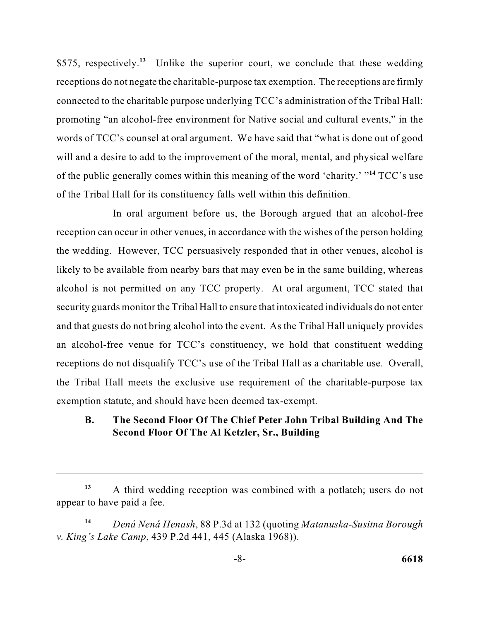receptions do not negate the charitable-purpose tax exemption. The receptions are firmly connected to the charitable purpose underlying TCC's administration of the Tribal Hall: words of TCC's counsel at oral argument. We have said that "what is done out of good will and a desire to add to the improvement of the moral, mental, and physical welfare of the public generally comes within this meaning of the word 'charity.' "**<sup>14</sup>** TCC's use \$575, respectively.**<sup>13</sup>**Unlike the superior court, we conclude that these wedding promoting "an alcohol-free environment for Native social and cultural events," in the of the Tribal Hall for its constituency falls well within this definition.

 the wedding. However, TCC persuasively responded that in other venues, alcohol is alcohol is not permitted on any TCC property. At oral argument, TCC stated that security guards monitor the Tribal Hall to ensure that intoxicated individuals do not enter and that guests do not bring alcohol into the event. As the Tribal Hall uniquely provides In oral argument before us, the Borough argued that an alcohol-free reception can occur in other venues, in accordance with the wishes of the person holding likely to be available from nearby bars that may even be in the same building, whereas an alcohol-free venue for TCC's constituency, we hold that constituent wedding receptions do not disqualify TCC's use of the Tribal Hall as a charitable use. Overall, the Tribal Hall meets the exclusive use requirement of the charitable-purpose tax exemption statute, and should have been deemed tax-exempt.

## **B. The Second Floor Of The Chief Peter John Tribal Building And The Second Floor Of The Al Ketzler, Sr., Building**

 **<sup>13</sup>**A third wedding reception was combined with a potlatch; users do not appear to have paid a fee.

**<sup>14</sup>***Dená Nená Henash*, 88 P.3d at 132 (quoting *Matanuska-Susitna Borough v. King's Lake Camp*, 439 P.2d 441, 445 (Alaska 1968)).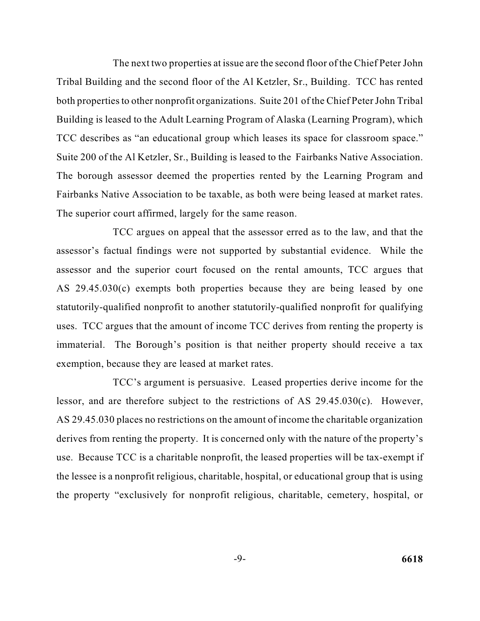The next two properties at issue are the second floor of the Chief Peter John both properties to other nonprofit organizations. Suite 201 of the Chief Peter John Tribal Tribal Building and the second floor of the Al Ketzler, Sr., Building. TCC has rented Building is leased to the Adult Learning Program of Alaska (Learning Program), which TCC describes as "an educational group which leases its space for classroom space." Suite 200 of the Al Ketzler, Sr., Building is leased to the Fairbanks Native Association. The borough assessor deemed the properties rented by the Learning Program and Fairbanks Native Association to be taxable, as both were being leased at market rates. The superior court affirmed, largely for the same reason.

 assessor and the superior court focused on the rental amounts, TCC argues that TCC argues on appeal that the assessor erred as to the law, and that the assessor's factual findings were not supported by substantial evidence. While the AS 29.45.030(c) exempts both properties because they are being leased by one statutorily-qualified nonprofit to another statutorily-qualified nonprofit for qualifying uses. TCC argues that the amount of income TCC derives from renting the property is immaterial. The Borough's position is that neither property should receive a tax exemption, because they are leased at market rates.

 AS 29.45.030 places no restrictions on the amount of income the charitable organization derives from renting the property. It is concerned only with the nature of the property's use. Because TCC is a charitable nonprofit, the leased properties will be tax-exempt if the lessee is a nonprofit religious, charitable, hospital, or educational group that is using TCC's argument is persuasive. Leased properties derive income for the lessor, and are therefore subject to the restrictions of AS 29.45.030(c). However, the property "exclusively for nonprofit religious, charitable, cemetery, hospital, or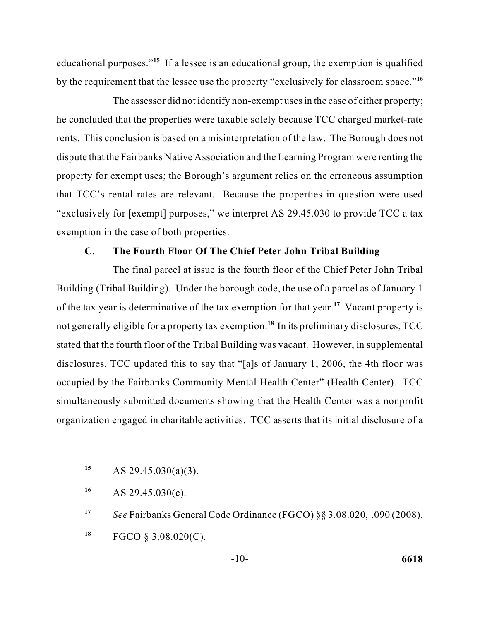educational purposes."**<sup>15</sup>**If a lessee is an educational group, the exemption is qualified by the requirement that the lessee use the property "exclusively for classroom space."**<sup>16</sup>**

 rents. This conclusion is based on a misinterpretation of the law. The Borough does not The assessor did not identify non-exempt uses in the case of either property; he concluded that the properties were taxable solely because TCC charged market-rate dispute that the Fairbanks Native Association and the Learning Program were renting the property for exempt uses; the Borough's argument relies on the erroneous assumption that TCC's rental rates are relevant. Because the properties in question were used "exclusively for [exempt] purposes," we interpret AS 29.45.030 to provide TCC a tax exemption in the case of both properties.

#### **C. The Fourth Floor Of The Chief Peter John Tribal Building**

 The final parcel at issue is the fourth floor of the Chief Peter John Tribal Building (Tribal Building). Under the borough code, the use of a parcel as of January 1 of the tax year is determinative of the tax exemption for that year.**<sup>17</sup>**Vacant property is not generally eligible for a property tax exemption.**<sup>18</sup>**In its preliminary disclosures, TCC disclosures, TCC updated this to say that "[a]s of January 1, 2006, the 4th floor was organization engaged in charitable activities. TCC asserts that its initial disclosure of a stated that the fourth floor of the Tribal Building was vacant. However, in supplemental occupied by the Fairbanks Community Mental Health Center" (Health Center). TCC simultaneously submitted documents showing that the Health Center was a nonprofit

**<sup>18</sup>**FGCO § 3.08.020(C).

**<sup>15</sup>**AS 29.45.030(a)(3).

**<sup>16</sup>**AS 29.45.030(c).

**<sup>17</sup>***See* Fairbanks General Code Ordinance (FGCO) §§ 3.08.020, .090 (2008).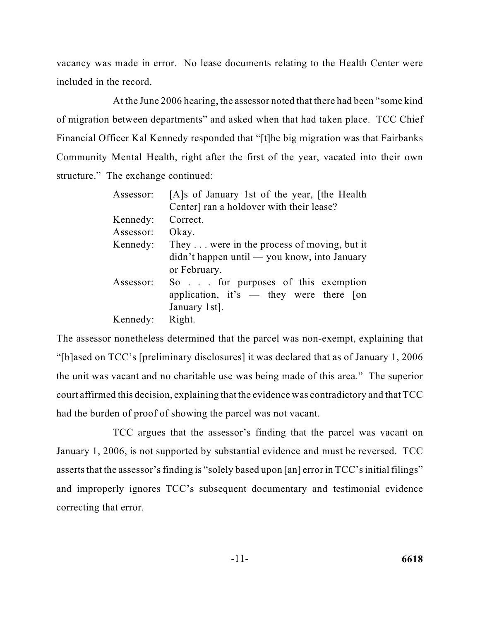vacancy was made in error. No lease documents relating to the Health Center were included in the record.

At the June 2006 hearing, the assessor noted that there had been "some kind of migration between departments" and asked when that had taken place. TCC Chief Financial Officer Kal Kennedy responded that "[t]he big migration was that Fairbanks Community Mental Health, right after the first of the year, vacated into their own structure." The exchange continued:

| Assessor: | [A]s of January 1st of the year, [the Health]      |
|-----------|----------------------------------------------------|
|           | Center] ran a holdover with their lease?           |
| Kennedy:  | Correct.                                           |
| Assessor: | Okay.                                              |
| Kennedy:  | They $\dots$ were in the process of moving, but it |
|           | didn't happen until — you know, into January       |
|           | or February.                                       |
| Assessor: | So for purposes of this exemption                  |
|           | application, it's $-$ they were there [on          |
|           | January 1st.                                       |
| Kennedy:  | Right.                                             |

 "[b]ased on TCC's [preliminary disclosures] it was declared that as of January 1, 2006 The assessor nonetheless determined that the parcel was non-exempt, explaining that the unit was vacant and no charitable use was being made of this area." The superior court affirmed this decision, explaining that the evidence was contradictory and that TCC had the burden of proof of showing the parcel was not vacant.

 asserts that the assessor's finding is "solely based upon [an] error in TCC's initial filings" TCC argues that the assessor's finding that the parcel was vacant on January 1, 2006, is not supported by substantial evidence and must be reversed. TCC and improperly ignores TCC's subsequent documentary and testimonial evidence correcting that error.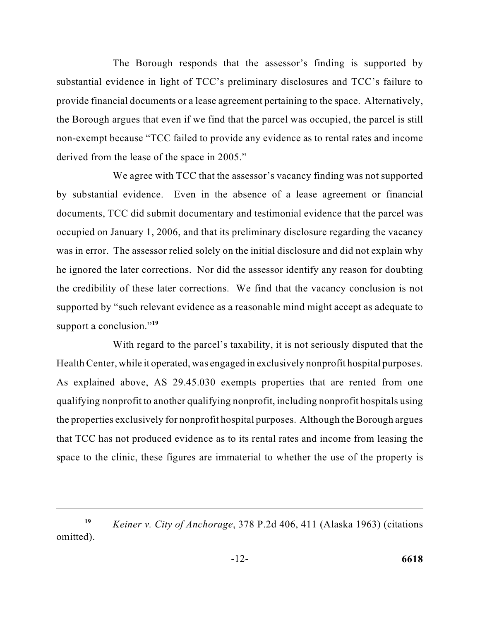the Borough argues that even if we find that the parcel was occupied, the parcel is still The Borough responds that the assessor's finding is supported by substantial evidence in light of TCC's preliminary disclosures and TCC's failure to provide financial documents or a lease agreement pertaining to the space. Alternatively, non-exempt because "TCC failed to provide any evidence as to rental rates and income derived from the lease of the space in 2005."

 occupied on January 1, 2006, and that its preliminary disclosure regarding the vacancy was in error. The assessor relied solely on the initial disclosure and did not explain why he ignored the later corrections. Nor did the assessor identify any reason for doubting supported by "such relevant evidence as a reasonable mind might accept as adequate to We agree with TCC that the assessor's vacancy finding was not supported by substantial evidence. Even in the absence of a lease agreement or financial documents, TCC did submit documentary and testimonial evidence that the parcel was the credibility of these later corrections. We find that the vacancy conclusion is not support a conclusion."**<sup>19</sup>**

With regard to the parcel's taxability, it is not seriously disputed that the Health Center, while it operated, was engaged in exclusively nonprofit hospital purposes. As explained above, AS 29.45.030 exempts properties that are rented from one qualifying nonprofit to another qualifying nonprofit, including nonprofit hospitals using the properties exclusively for nonprofit hospital purposes. Although the Borough argues that TCC has not produced evidence as to its rental rates and income from leasing the space to the clinic, these figures are immaterial to whether the use of the property is

*Keiner v. City of Anchorage*, 378 P.2d 406, 411 (Alaska 1963) (citations omitted). **19**